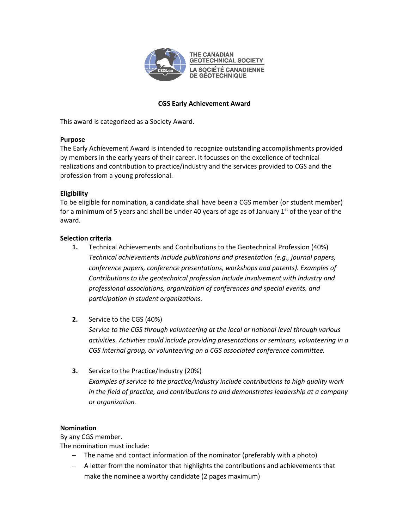

**THE CANADIAN GEOTECHNICAL SOCIETY LA SOCIÉTÉ CANADIENNE DE GÉOTECHNIQUE** 

# **CGS Early Achievement Award**

This award is categorized as a Society Award.

## **Purpose**

The Early Achievement Award is intended to recognize outstanding accomplishments provided by members in the early years of their career. It focusses on the excellence of technical realizations and contribution to practice/industry and the services provided to CGS and the profession from a young professional.

## **Eligibility**

To be eligible for nomination, a candidate shall have been a CGS member (or student member) for a minimum of 5 years and shall be under 40 years of age as of January  $1<sup>st</sup>$  of the year of the award.

## **Selection criteria**

- **1.** Technical Achievements and Contributions to the Geotechnical Profession (40%) *Technical achievements include publications and presentation (e.g., journal papers, conference papers, conference presentations, workshops and patents). Examples of Contributions to the geotechnical profession include involvement with industry and professional associations, organization of conferences and special events, and participation in student organizations.*
- **2.** Service to the CGS (40%)

*Service to the CGS through volunteering at the local or national level through various activities. Activities could include providing presentations or seminars, volunteering in a CGS internal group, or volunteering on a CGS associated conference committee.* 

**3.** Service to the Practice/Industry (20%) *Examples of service to the practice/industry include contributions to high quality work in the field of practice, and contributions to and demonstrates leadership at a company or organization.* 

### **Nomination**

By any CGS member.

The nomination must include:

- − The name and contact information of the nominator (preferably with a photo)
- − A letter from the nominator that highlights the contributions and achievements that make the nominee a worthy candidate (2 pages maximum)